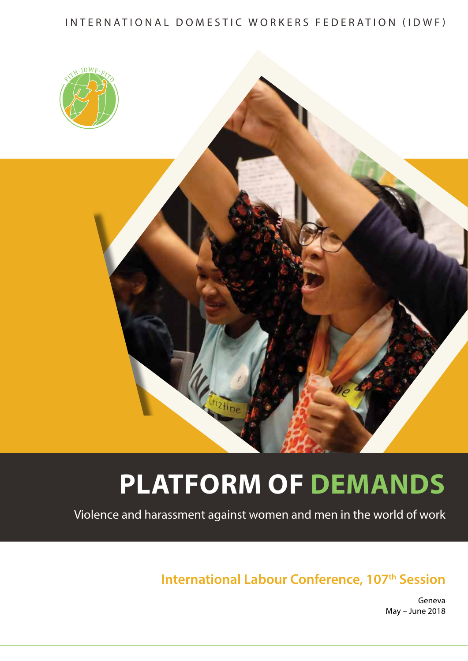### INTERNATIONAL DOMESTIC WORKERS FEDERATION (IDWF)





## **Platform of Demands**

Violence and harassment against women and men in the world of work

**International Labour Conference, 107th Session** 

Geneva May – June 2018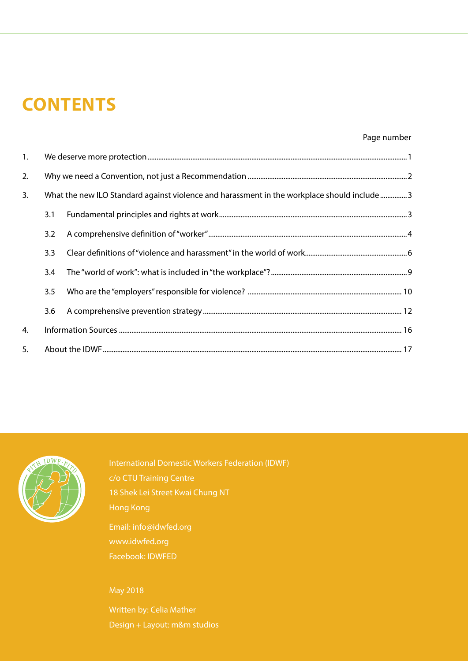## **CONTENTS**

#### Page number

| 1. |     |                                                                                            |
|----|-----|--------------------------------------------------------------------------------------------|
| 2. |     |                                                                                            |
| 3. |     | What the new ILO Standard against violence and harassment in the workplace should include3 |
|    | 3.1 |                                                                                            |
|    | 3.2 |                                                                                            |
|    | 3.3 |                                                                                            |
|    | 3.4 |                                                                                            |
|    | 3.5 |                                                                                            |
|    | 3.6 |                                                                                            |
| 4. |     |                                                                                            |
| 5. |     |                                                                                            |



International Domestic Workers Federation (IDWF) c/o CTU Training Centre 18 Shek Lei Street Kwai Chung NT Hong Kong

Email: info@idwfed.org www.idwfed.org Facebook: IDWFED

May 2018

Written by: Celia Mather Design + Layout: m&m studios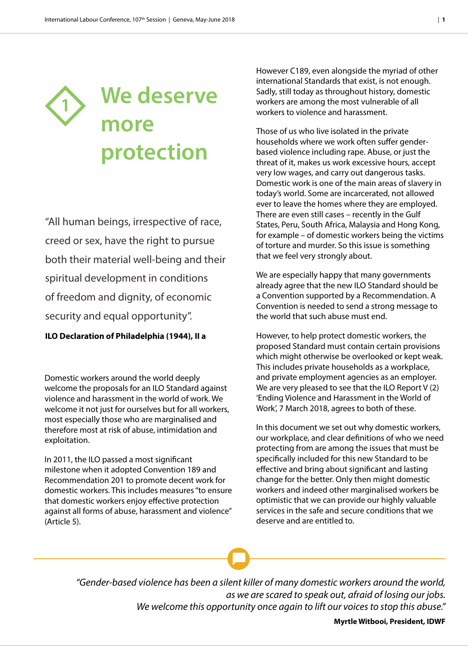

"All human beings, irrespective of race, creed or sex, have the right to pursue both their material well-being and their spiritual development in conditions of freedom and dignity, of economic security and equal opportunity".

#### **ILO Declaration of Philadelphia (1944), II a**

Domestic workers around the world deeply welcome the proposals for an ILO Standard against violence and harassment in the world of work. We welcome it not just for ourselves but for all workers, most especially those who are marginalised and therefore most at risk of abuse, intimidation and exploitation.

In 2011, the ILO passed a most significant milestone when it adopted Convention 189 and Recommendation 201 to promote decent work for domestic workers. This includes measures "to ensure that domestic workers enjoy effective protection against all forms of abuse, harassment and violence" (Article 5).

However C189, even alongside the myriad of other international Standards that exist, is not enough. Sadly, still today as throughout history, domestic workers are among the most vulnerable of all workers to violence and harassment.

Those of us who live isolated in the private households where we work often suffer genderbased violence including rape. Abuse, or just the threat of it, makes us work excessive hours, accept very low wages, and carry out dangerous tasks. Domestic work is one of the main areas of slavery in today's world. Some are incarcerated, not allowed ever to leave the homes where they are employed. There are even still cases – recently in the Gulf States, Peru, South Africa, Malaysia and Hong Kong, for example – of domestic workers being the victims of torture and murder. So this issue is something that we feel very strongly about.

We are especially happy that many governments already agree that the new ILO Standard should be a Convention supported by a Recommendation. A Convention is needed to send a strong message to the world that such abuse must end.

However, to help protect domestic workers, the proposed Standard must contain certain provisions which might otherwise be overlooked or kept weak. This includes private households as a workplace, and private employment agencies as an employer. We are very pleased to see that the ILO Report V (2) 'Ending Violence and Harassment in the World of Work', 7 March 2018, agrees to both of these.

In this document we set out why domestic workers, our workplace, and clear definitions of who we need protecting from are among the issues that must be specifically included for this new Standard to be effective and bring about significant and lasting change for the better. Only then might domestic workers and indeed other marginalised workers be optimistic that we can provide our highly valuable services in the safe and secure conditions that we deserve and are entitled to.

*"Gender-based violence has been a silent killer of many domestic workers around the world, as we are scared to speak out, afraid of losing our jobs. We welcome this opportunity once again to lift our voices to stop this abuse."*

**Myrtle Witbooi, President, IDWF**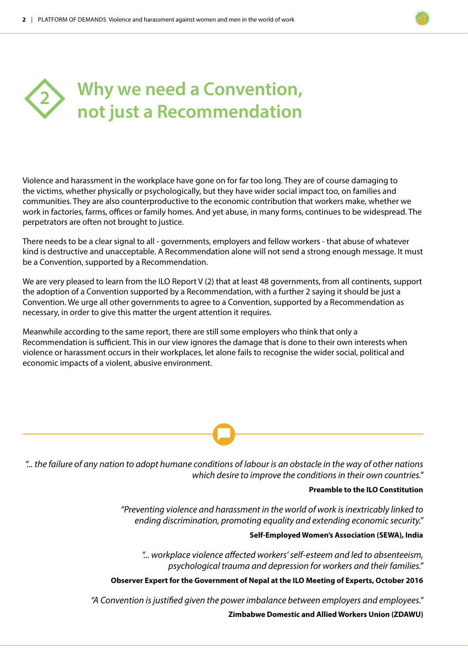

Violence and harassment in the workplace have gone on for far too long. They are of course damaging to the victims, whether physically or psychologically, but they have wider social impact too, on families and communities. They are also counterproductive to the economic contribution that workers make, whether we work in factories, farms, offices or family homes. And yet abuse, in many forms, continues to be widespread. The perpetrators are often not brought to justice.

There needs to be a clear signal to all - governments, employers and fellow workers - that abuse of whatever kind is destructive and unacceptable. A Recommendation alone will not send a strong enough message. It must be a Convention, supported by a Recommendation.

We are very pleased to learn from the ILO Report V (2) that at least 48 governments, from all continents, support the adoption of a Convention supported by a Recommendation, with a further 2 saying it should be just a Convention. We urge all other governments to agree to a Convention, supported by a Recommendation as necessary, in order to give this matter the urgent attention it requires.

Meanwhile according to the same report, there are still some employers who think that only a Recommendation is sufficient. This in our view ignores the damage that is done to their own interests when violence or harassment occurs in their workplaces, let alone fails to recognise the wider social, political and economic impacts of a violent, abusive environment.

*"... the failure of any nation to adopt humane conditions of labour is an obstacle in the way of other nations which desire to improve the conditions in their own countries."*

#### **Preamble to the ILO Constitution**

*"Preventing violence and harassment in the world of work is inextricably linked to ending discrimination, promoting equality and extending economic security."*

**Self-Employed Women's Association (SEWA), India** 

*"... workplace violence affected workers' self-esteem and led to absenteeism, psychological trauma and depression for workers and their families."* 

**Observer Expert for the Government of Nepal at the ILO Meeting of Experts, October 2016**

*"A Convention is justified given the power imbalance between employers and employees."*

**Zimbabwe Domestic and Allied Workers Union (ZDAWU)**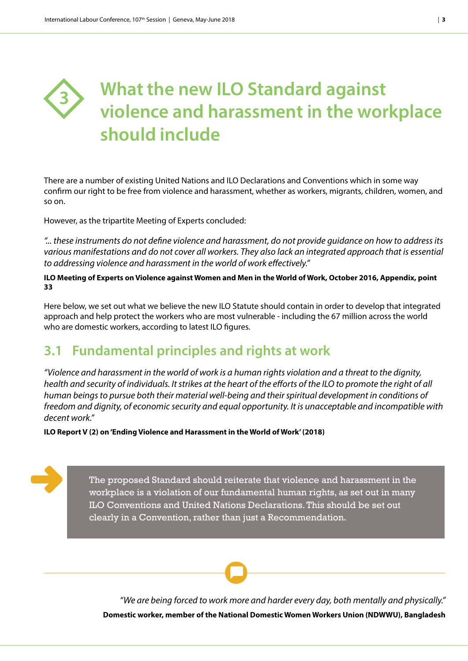### **What the new ILO Standard against violence and harassment in the workplace should include 3**

There are a number of existing United Nations and ILO Declarations and Conventions which in some way confirm our right to be free from violence and harassment, whether as workers, migrants, children, women, and so on.

However, as the tripartite Meeting of Experts concluded:

*"... these instruments do not define violence and harassment, do not provide guidance on how to address its various manifestations and do not cover all workers. They also lack an integrated approach that is essential to addressing violence and harassment in the world of work effectively."*

**ILO Meeting of Experts on Violence against Women and Men in the World of Work, October 2016, Appendix, point 33**

Here below, we set out what we believe the new ILO Statute should contain in order to develop that integrated approach and help protect the workers who are most vulnerable - including the 67 million across the world who are domestic workers, according to latest ILO figures.

### **3.1 Fundamental principles and rights at work**

*"Violence and harassment in the world of work is a human rights violation and a threat to the dignity, health and security of individuals. It strikes at the heart of the efforts of the ILO to promote the right of all human beings to pursue both their material well-being and their spiritual development in conditions of freedom and dignity, of economic security and equal opportunity. It is unacceptable and incompatible with decent work."* 

**ILO Report V (2) on 'Ending Violence and Harassment in the World of Work' (2018)**

The proposed Standard should reiterate that violence and harassment in the workplace is a violation of our fundamental human rights, as set out in many ILO Conventions and United Nations Declarations. This should be set out clearly in a Convention, rather than just a Recommendation.

*"We are being forced to work more and harder every day, both mentally and physically."*  **Domestic worker, member of the National Domestic Women Workers Union (NDWWU), Bangladesh**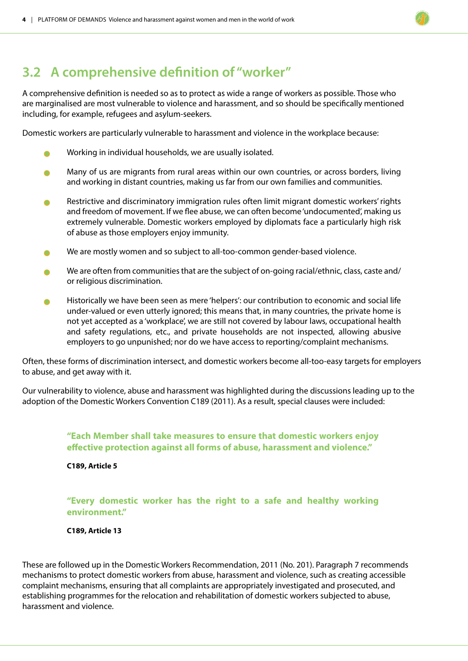### **3.2 A comprehensive definition of "worker"**

A comprehensive definition is needed so as to protect as wide a range of workers as possible. Those who are marginalised are most vulnerable to violence and harassment, and so should be specifically mentioned including, for example, refugees and asylum-seekers.

Domestic workers are particularly vulnerable to harassment and violence in the workplace because:

- <sup>l</sup> Working in individual households, we are usually isolated.
- <sup>l</sup> Many of us are migrants from rural areas within our own countries, or across borders, living and working in distant countries, making us far from our own families and communities.
- **e** Restrictive and discriminatory immigration rules often limit migrant domestic workers' rights and freedom of movement. If we flee abuse, we can often become 'undocumented', making us extremely vulnerable. Domestic workers employed by diplomats face a particularly high risk of abuse as those employers enjoy immunity.
- **ID** We are mostly women and so subject to all-too-common gender-based violence.
- $\bullet$  We are often from communities that are the subject of on-going racial/ethnic, class, caste and/ or religious discrimination.
- Historically we have been seen as mere 'helpers': our contribution to economic and social life under-valued or even utterly ignored; this means that, in many countries, the private home is not yet accepted as a 'workplace', we are still not covered by labour laws, occupational health and safety regulations, etc., and private households are not inspected, allowing abusive employers to go unpunished; nor do we have access to reporting/complaint mechanisms.

Often, these forms of discrimination intersect, and domestic workers become all-too-easy targets for employers to abuse, and get away with it.

Our vulnerability to violence, abuse and harassment was highlighted during the discussions leading up to the adoption of the Domestic Workers Convention C189 (2011). As a result, special clauses were included:

#### **"Each Member shall take measures to ensure that domestic workers enjoy effective protection against all forms of abuse, harassment and violence."**

#### **C189, Article 5**

#### **"Every domestic worker has the right to a safe and healthy working environment."**

#### **C189, Article 13**

These are followed up in the Domestic Workers Recommendation, 2011 (No. 201). Paragraph 7 recommends mechanisms to protect domestic workers from abuse, harassment and violence, such as creating accessible complaint mechanisms, ensuring that all complaints are appropriately investigated and prosecuted, and establishing programmes for the relocation and rehabilitation of domestic workers subjected to abuse, harassment and violence.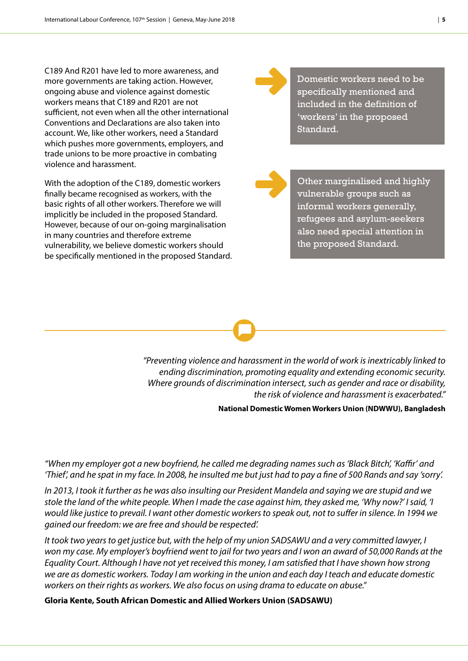C189 And R201 have led to more awareness, and more governments are taking action. However, ongoing abuse and violence against domestic workers means that C189 and R201 are not sufficient, not even when all the other international Conventions and Declarations are also taken into account. We, like other workers, need a Standard which pushes more governments, employers, and trade unions to be more proactive in combating violence and harassment.

With the adoption of the C189, domestic workers finally became recognised as workers, with the basic rights of all other workers. Therefore we will implicitly be included in the proposed Standard. However, because of our on-going marginalisation in many countries and therefore extreme vulnerability, we believe domestic workers should be specifically mentioned in the proposed Standard. Domestic workers need to be specifically mentioned and included in the definition of 'workers' in the proposed Standard.

Other marginalised and highly vulnerable groups such as informal workers generally, refugees and asylum-seekers also need special attention in the proposed Standard.

*"Preventing violence and harassment in the world of work is inextricably linked to ending discrimination, promoting equality and extending economic security. Where grounds of discrimination intersect, such as gender and race or disability, the risk of violence and harassment is exacerbated."*

**National Domestic Women Workers Union (NDWWU), Bangladesh**

*"When my employer got a new boyfriend, he called me degrading names such as 'Black Bitch', 'Kaffir' and 'Thief', and he spat in my face. In 2008, he insulted me but just had to pay a fine of 500 Rands and say 'sorry'.* 

*In 2013, I took it further as he was also insulting our President Mandela and saying we are stupid and we stole the land of the white people. When I made the case against him, they asked me, 'Why now?' I said, 'I would like justice to prevail. I want other domestic workers to speak out, not to suffer in silence. In 1994 we gained our freedom: we are free and should be respected'.*

*It took two years to get justice but, with the help of my union SADSAWU and a very committed lawyer, I won my case. My employer's boyfriend went to jail for two years and I won an award of 50,000 Rands at the Equality Court. Although I have not yet received this money, I am satisfied that I have shown how strong we are as domestic workers. Today I am working in the union and each day I teach and educate domestic workers on their rights as workers. We also focus on using drama to educate on abuse."*

**Gloria Kente, South African Domestic and Allied Workers Union (SADSAWU)**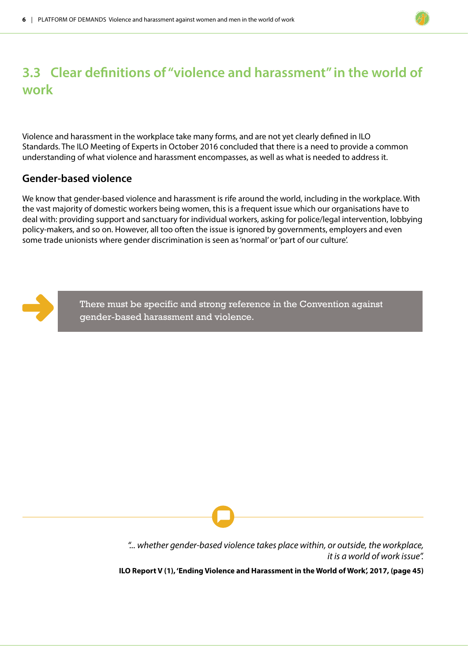### **3.3 Clear definitions of "violence and harassment" in the world of work**

Violence and harassment in the workplace take many forms, and are not yet clearly defined in ILO Standards. The ILO Meeting of Experts in October 2016 concluded that there is a need to provide a common understanding of what violence and harassment encompasses, as well as what is needed to address it.

#### **Gender-based violence**

We know that gender-based violence and harassment is rife around the world, including in the workplace. With the vast majority of domestic workers being women, this is a frequent issue which our organisations have to deal with: providing support and sanctuary for individual workers, asking for police/legal intervention, lobbying policy-makers, and so on. However, all too often the issue is ignored by governments, employers and even some trade unionists where gender discrimination is seen as 'normal' or 'part of our culture'.



There must be specific and strong reference in the Convention against gender-based harassment and violence.

> *"... whether gender-based violence takes place within, or outside, the workplace, it is a world of work issue".*

**ILO Report V (1), 'Ending Violence and Harassment in the World of Work', 2017, (page 45)**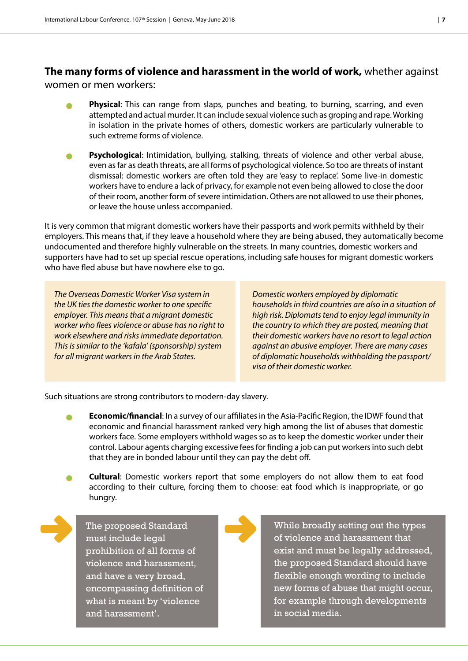### **The many forms of violence and harassment in the world of work,** whether against

women or men workers:

- **Physical**: This can range from slaps, punches and beating, to burning, scarring, and even attempted and actual murder. It can include sexual violence such as groping and rape. Working in isolation in the private homes of others, domestic workers are particularly vulnerable to such extreme forms of violence.
- Psychological: Intimidation, bullying, stalking, threats of violence and other verbal abuse, even as far as death threats, are all forms of psychological violence. So too are threats of instant dismissal: domestic workers are often told they are 'easy to replace'. Some live-in domestic workers have to endure a lack of privacy, for example not even being allowed to close the door of their room, another form of severe intimidation. Others are not allowed to use their phones, or leave the house unless accompanied.

It is very common that migrant domestic workers have their passports and work permits withheld by their employers. This means that, if they leave a household where they are being abused, they automatically become undocumented and therefore highly vulnerable on the streets. In many countries, domestic workers and supporters have had to set up special rescue operations, including safe houses for migrant domestic workers who have fled abuse but have nowhere else to go.

*The Overseas Domestic Worker Visa system in the UK ties the domestic worker to one specific employer. This means that a migrant domestic worker who flees violence or abuse has no right to work elsewhere and risks immediate deportation. This is similar to the 'kafala' (sponsorship) system for all migrant workers in the Arab States.*

*Domestic workers employed by diplomatic households in third countries are also in a situation of high risk. Diplomats tend to enjoy legal immunity in the country to which they are posted, meaning that their domestic workers have no resort to legal action against an abusive employer. There are many cases of diplomatic households withholding the passport/ visa of their domestic worker.*

Such situations are strong contributors to modern-day slavery.

- **Economic/financial:** In a survey of our affiliates in the Asia-Pacific Region, the IDWF found that economic and financial harassment ranked very high among the list of abuses that domestic workers face. Some employers withhold wages so as to keep the domestic worker under their control. Labour agents charging excessive fees for finding a job can put workers into such debt that they are in bonded labour until they can pay the debt off.
- **Cultural**: Domestic workers report that some employers do not allow them to eat food according to their culture, forcing them to choose: eat food which is inappropriate, or go hungry.

The proposed Standard must include legal prohibition of all forms of violence and harassment, and have a very broad, encompassing definition of what is meant by 'violence and harassment'.



While broadly setting out the types of violence and harassment that exist and must be legally addressed, the proposed Standard should have flexible enough wording to include new forms of abuse that might occur, for example through developments in social media.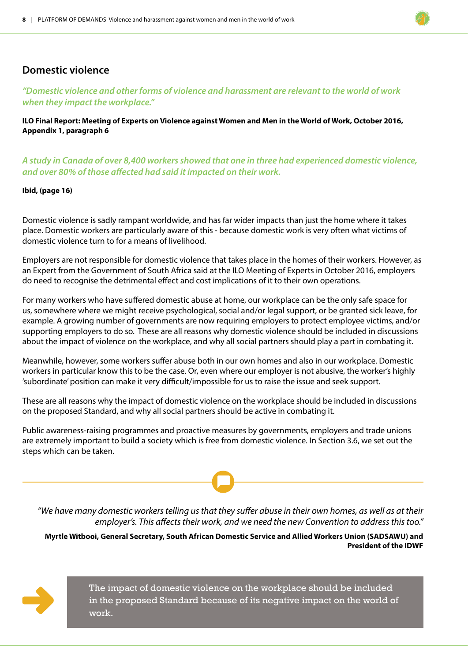#### **Domestic violence**

#### *"Domestic violence and other forms of violence and harassment are relevant to the world of work when they impact the workplace."*

**ILO Final Report: Meeting of Experts on Violence against Women and Men in the World of Work, October 2016, Appendix 1, paragraph 6**

*A study in Canada of over 8,400 workers showed that one in three had experienced domestic violence, and over 80% of those affected had said it impacted on their work.* 

#### **Ibid, (page 16)**

Domestic violence is sadly rampant worldwide, and has far wider impacts than just the home where it takes place. Domestic workers are particularly aware of this - because domestic work is very often what victims of domestic violence turn to for a means of livelihood.

Employers are not responsible for domestic violence that takes place in the homes of their workers. However, as an Expert from the Government of South Africa said at the ILO Meeting of Experts in October 2016, employers do need to recognise the detrimental effect and cost implications of it to their own operations.

For many workers who have suffered domestic abuse at home, our workplace can be the only safe space for us, somewhere where we might receive psychological, social and/or legal support, or be granted sick leave, for example. A growing number of governments are now requiring employers to protect employee victims, and/or supporting employers to do so. These are all reasons why domestic violence should be included in discussions about the impact of violence on the workplace, and why all social partners should play a part in combating it.

Meanwhile, however, some workers suffer abuse both in our own homes and also in our workplace. Domestic workers in particular know this to be the case. Or, even where our employer is not abusive, the worker's highly 'subordinate' position can make it very difficult/impossible for us to raise the issue and seek support.

These are all reasons why the impact of domestic violence on the workplace should be included in discussions on the proposed Standard, and why all social partners should be active in combating it.

Public awareness-raising programmes and proactive measures by governments, employers and trade unions are extremely important to build a society which is free from domestic violence. In Section 3.6, we set out the steps which can be taken.

*"We have many domestic workers telling us that they suffer abuse in their own homes, as well as at their employer's. This affects their work, and we need the new Convention to address this too."*

**Myrtle Witbooi, General Secretary, South African Domestic Service and Allied Workers Union (SADSAWU) and President of the IDWF**



The impact of domestic violence on the workplace should be included in the proposed Standard because of its negative impact on the world of work.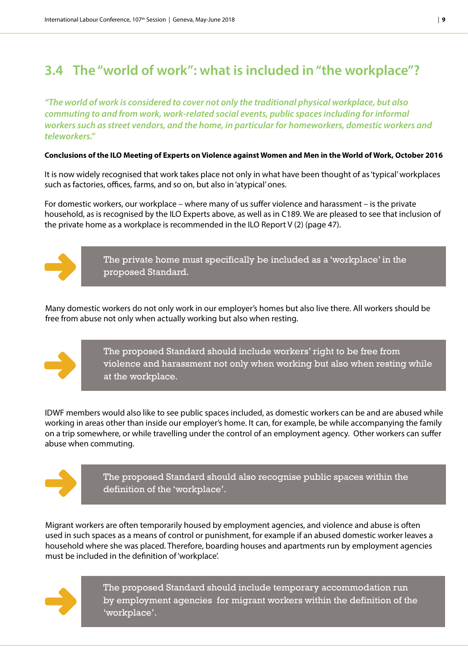### **3.4 The "world of work": what is included in "the workplace"?**

*"The world of work is considered to cover not only the traditional physical workplace, but also commuting to and from work, work-related social events, public spaces including for informal workers such as street vendors, and the home, in particular for homeworkers, domestic workers and teleworkers."* 

#### **Conclusions of the ILO Meeting of Experts on Violence against Women and Men in the World of Work, October 2016**

It is now widely recognised that work takes place not only in what have been thought of as 'typical' workplaces such as factories, offices, farms, and so on, but also in 'atypical' ones.

For domestic workers, our workplace – where many of us suffer violence and harassment – is the private household, as is recognised by the ILO Experts above, as well as in C189. We are pleased to see that inclusion of the private home as a workplace is recommended in the ILO Report V (2) (page 47).



The private home must specifically be included as a 'workplace' in the proposed Standard.

Many domestic workers do not only work in our employer's homes but also live there. All workers should be free from abuse not only when actually working but also when resting.



The proposed Standard should include workers' right to be free from violence and harassment not only when working but also when resting while at the workplace.

IDWF members would also like to see public spaces included, as domestic workers can be and are abused while working in areas other than inside our employer's home. It can, for example, be while accompanying the family on a trip somewhere, or while travelling under the control of an employment agency. Other workers can suffer abuse when commuting.



The proposed Standard should also recognise public spaces within the definition of the 'workplace'.

Migrant workers are often temporarily housed by employment agencies, and violence and abuse is often used in such spaces as a means of control or punishment, for example if an abused domestic worker leaves a household where she was placed. Therefore, boarding houses and apartments run by employment agencies must be included in the definition of 'workplace'.



The proposed Standard should include temporary accommodation run by employment agencies for migrant workers within the definition of the 'workplace'.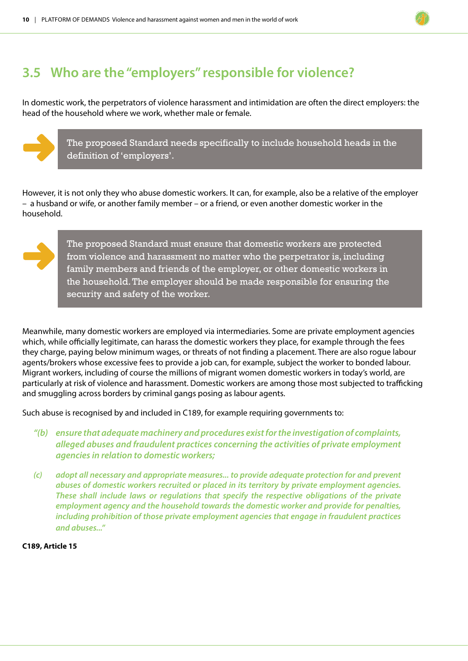### **3.5 Who are the "employers" responsible for violence?**

In domestic work, the perpetrators of violence harassment and intimidation are often the direct employers: the head of the household where we work, whether male or female.



However, it is not only they who abuse domestic workers. It can, for example, also be a relative of the employer – a husband or wife, or another family member – or a friend, or even another domestic worker in the household.



The proposed Standard must ensure that domestic workers are protected from violence and harassment no matter who the perpetrator is, including family members and friends of the employer, or other domestic workers in the household. The employer should be made responsible for ensuring the security and safety of the worker.

Meanwhile, many domestic workers are employed via intermediaries. Some are private employment agencies which, while officially legitimate, can harass the domestic workers they place, for example through the fees they charge, paying below minimum wages, or threats of not finding a placement. There are also rogue labour agents/brokers whose excessive fees to provide a job can, for example, subject the worker to bonded labour. Migrant workers, including of course the millions of migrant women domestic workers in today's world, are particularly at risk of violence and harassment. Domestic workers are among those most subjected to trafficking and smuggling across borders by criminal gangs posing as labour agents.

Such abuse is recognised by and included in C189, for example requiring governments to:

- *"(b) ensure that adequate machinery and procedures exist for the investigation of complaints, alleged abuses and fraudulent practices concerning the activities of private employment agencies in relation to domestic workers;*
- *(c) adopt all necessary and appropriate measures... to provide adequate protection for and prevent abuses of domestic workers recruited or placed in its territory by private employment agencies. These shall include laws or regulations that specify the respective obligations of the private employment agency and the household towards the domestic worker and provide for penalties, including prohibition of those private employment agencies that engage in fraudulent practices and abuses..."*

**C189, Article 15**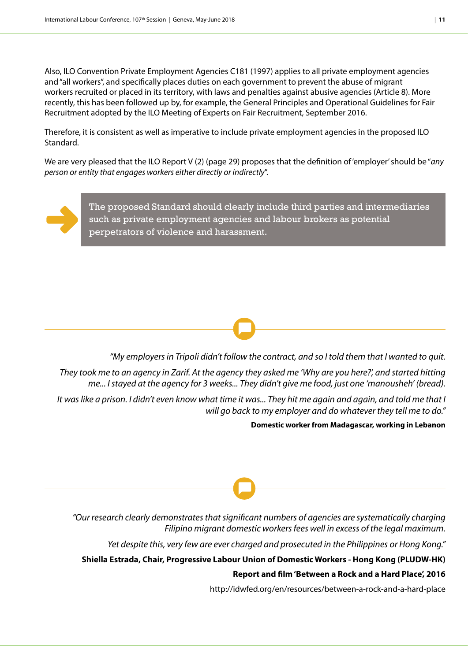Also, ILO Convention Private Employment Agencies C181 (1997) applies to all private employment agencies and "all workers", and specifically places duties on each government to prevent the abuse of migrant workers recruited or placed in its territory, with laws and penalties against abusive agencies (Article 8). More recently, this has been followed up by, for example, the General Principles and Operational Guidelines for Fair Recruitment adopted by the ILO Meeting of Experts on Fair Recruitment, September 2016.

Therefore, it is consistent as well as imperative to include private employment agencies in the proposed ILO Standard.

We are very pleased that the ILO Report V (2) (page 29) proposes that the definition of 'employer' should be "*any person or entity that engages workers either directly or indirectly*".



The proposed Standard should clearly include third parties and intermediaries such as private employment agencies and labour brokers as potential perpetrators of violence and harassment.

*"My employers in Tripoli didn't follow the contract, and so I told them that I wanted to quit.* 

*They took me to an agency in Zarif. At the agency they asked me 'Why are you here?', and started hitting me... I stayed at the agency for 3 weeks... They didn't give me food, just one 'manousheh' (bread).* 

*It was like a prison. I didn't even know what time it was... They hit me again and again, and told me that I will go back to my employer and do whatever they tell me to do."*

**Domestic worker from Madagascar, working in Lebanon**

*"Our research clearly demonstrates that significant numbers of agencies are systematically charging Filipino migrant domestic workers fees well in excess of the legal maximum.* 

*Yet despite this, very few are ever charged and prosecuted in the Philippines or Hong Kong."* 

**Shiella Estrada, Chair, Progressive Labour Union of Domestic Workers - Hong Kong (PLUDW-HK)**

**Report and film 'Between a Rock and a Hard Place', 2016**

http://idwfed.org/en/resources/between-a-rock-and-a-hard-place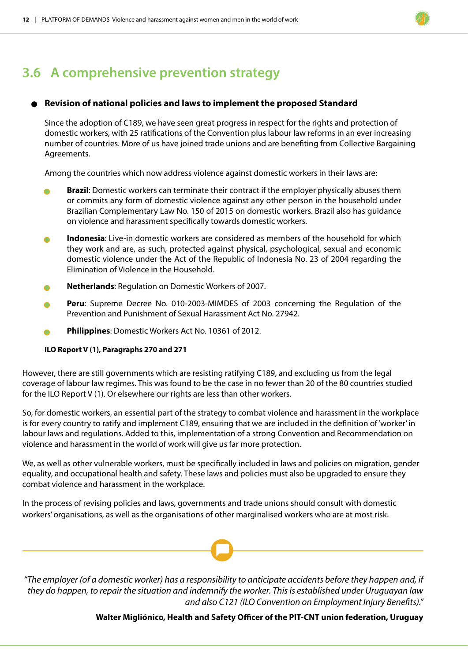### **3.6 A comprehensive prevention strategy**

#### <sup>l</sup> **Revision of national policies and laws to implement the proposed Standard**

Since the adoption of C189, we have seen great progress in respect for the rights and protection of domestic workers, with 25 ratifications of the Convention plus labour law reforms in an ever increasing number of countries. More of us have joined trade unions and are benefiting from Collective Bargaining Agreements.

Among the countries which now address violence against domestic workers in their laws are:

- **Brazil:** Domestic workers can terminate their contract if the employer physically abuses them or commits any form of domestic violence against any other person in the household under Brazilian Complementary Law No. 150 of 2015 on domestic workers. Brazil also has guidance on violence and harassment specifically towards domestic workers.
- **Indonesia**: Live-in domestic workers are considered as members of the household for which they work and are, as such, protected against physical, psychological, sexual and economic domestic violence under the Act of the Republic of Indonesia No. 23 of 2004 regarding the Elimination of Violence in the Household.
- <sup>l</sup> **Netherlands**: Regulation on Domestic Workers of 2007.
- <sup>l</sup> **Peru**: Supreme Decree No. 010-2003-MIMDES of 2003 concerning the Regulation of the Prevention and Punishment of Sexual Harassment Act No. 27942.
- <sup>l</sup> **Philippines**: Domestic Workers Act No. 10361 of 2012.

#### **ILO Report V (1), Paragraphs 270 and 271**

However, there are still governments which are resisting ratifying C189, and excluding us from the legal coverage of labour law regimes. This was found to be the case in no fewer than 20 of the 80 countries studied for the ILO Report V (1). Or elsewhere our rights are less than other workers.

So, for domestic workers, an essential part of the strategy to combat violence and harassment in the workplace is for every country to ratify and implement C189, ensuring that we are included in the definition of 'worker' in labour laws and regulations. Added to this, implementation of a strong Convention and Recommendation on violence and harassment in the world of work will give us far more protection.

We, as well as other vulnerable workers, must be specifically included in laws and policies on migration, gender equality, and occupational health and safety. These laws and policies must also be upgraded to ensure they combat violence and harassment in the workplace.

In the process of revising policies and laws, governments and trade unions should consult with domestic workers' organisations, as well as the organisations of other marginalised workers who are at most risk.

*"The employer (of a domestic worker) has a responsibility to anticipate accidents before they happen and, if they do happen, to repair the situation and indemnify the worker. This is established under Uruguayan law and also C121 (ILO Convention on Employment Injury Benefits)."*

**Walter Migliónico, Health and Safety Officer of the PIT-CNT union federation, Uruguay**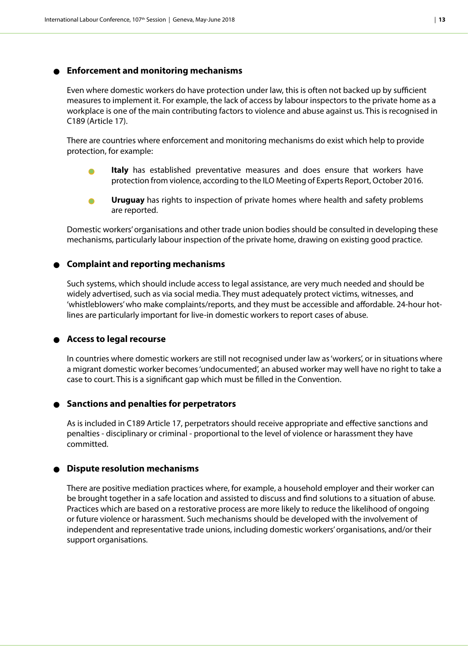#### <sup>l</sup> **Enforcement and monitoring mechanisms**

Even where domestic workers do have protection under law, this is often not backed up by sufficient measures to implement it. For example, the lack of access by labour inspectors to the private home as a workplace is one of the main contributing factors to violence and abuse against us. This is recognised in C189 (Article 17).

There are countries where enforcement and monitoring mechanisms do exist which help to provide protection, for example:

- <sup>l</sup> **Italy** has established preventative measures and does ensure that workers have protection from violence, according to the ILO Meeting of Experts Report, October 2016.
- <sup>l</sup> **Uruguay** has rights to inspection of private homes where health and safety problems are reported.

Domestic workers' organisations and other trade union bodies should be consulted in developing these mechanisms, particularly labour inspection of the private home, drawing on existing good practice.

#### <sup>l</sup> **Complaint and reporting mechanisms**

Such systems, which should include access to legal assistance, are very much needed and should be widely advertised, such as via social media. They must adequately protect victims, witnesses, and 'whistleblowers' who make complaints/reports, and they must be accessible and affordable. 24-hour hotlines are particularly important for live-in domestic workers to report cases of abuse.

#### <sup>l</sup> **Access to legal recourse**

In countries where domestic workers are still not recognised under law as 'workers', or in situations where a migrant domestic worker becomes 'undocumented', an abused worker may well have no right to take a case to court. This is a significant gap which must be filled in the Convention.

#### <sup>l</sup> **Sanctions and penalties for perpetrators**

As is included in C189 Article 17, perpetrators should receive appropriate and effective sanctions and penalties - disciplinary or criminal - proportional to the level of violence or harassment they have committed.

#### <sup>l</sup> **Dispute resolution mechanisms**

There are positive mediation practices where, for example, a household employer and their worker can be brought together in a safe location and assisted to discuss and find solutions to a situation of abuse. Practices which are based on a restorative process are more likely to reduce the likelihood of ongoing or future violence or harassment. Such mechanisms should be developed with the involvement of independent and representative trade unions, including domestic workers' organisations, and/or their support organisations.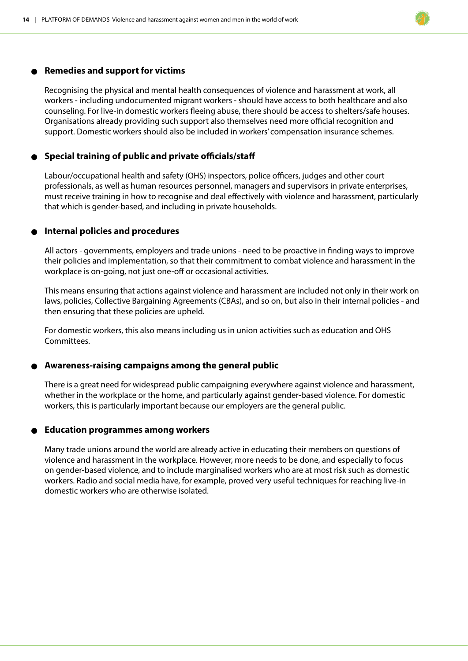#### <sup>l</sup> **Remedies and support for victims**

Recognising the physical and mental health consequences of violence and harassment at work, all workers - including undocumented migrant workers - should have access to both healthcare and also counseling. For live-in domestic workers fleeing abuse, there should be access to shelters/safe houses. Organisations already providing such support also themselves need more official recognition and support. Domestic workers should also be included in workers' compensation insurance schemes.

#### <sup>l</sup> **Special training of public and private officials/staff**

Labour/occupational health and safety (OHS) inspectors, police officers, judges and other court professionals, as well as human resources personnel, managers and supervisors in private enterprises, must receive training in how to recognise and deal effectively with violence and harassment, particularly that which is gender-based, and including in private households.

#### <sup>l</sup> **Internal policies and procedures**

All actors - governments, employers and trade unions - need to be proactive in finding ways to improve their policies and implementation, so that their commitment to combat violence and harassment in the workplace is on-going, not just one-off or occasional activities.

This means ensuring that actions against violence and harassment are included not only in their work on laws, policies, Collective Bargaining Agreements (CBAs), and so on, but also in their internal policies - and then ensuring that these policies are upheld.

For domestic workers, this also means including us in union activities such as education and OHS Committees.

#### <sup>l</sup> **Awareness-raising campaigns among the general public**

There is a great need for widespread public campaigning everywhere against violence and harassment, whether in the workplace or the home, and particularly against gender-based violence. For domestic workers, this is particularly important because our employers are the general public.

#### <sup>l</sup> **Education programmes among workers**

Many trade unions around the world are already active in educating their members on questions of violence and harassment in the workplace. However, more needs to be done, and especially to focus on gender-based violence, and to include marginalised workers who are at most risk such as domestic workers. Radio and social media have, for example, proved very useful techniques for reaching live-in domestic workers who are otherwise isolated.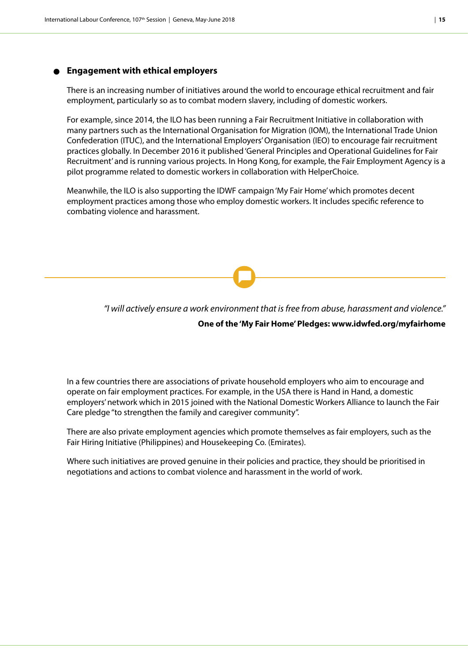#### <sup>l</sup> **Engagement with ethical employers**

There is an increasing number of initiatives around the world to encourage ethical recruitment and fair employment, particularly so as to combat modern slavery, including of domestic workers.

For example, since 2014, the ILO has been running a Fair Recruitment Initiative in collaboration with many partners such as the International Organisation for Migration (IOM), the International Trade Union Confederation (ITUC), and the International Employers' Organisation (IEO) to encourage fair recruitment practices globally. In December 2016 it published 'General Principles and Operational Guidelines for Fair Recruitment' and is running various projects. In Hong Kong, for example, the Fair Employment Agency is a pilot programme related to domestic workers in collaboration with HelperChoice.

Meanwhile, the ILO is also supporting the IDWF campaign 'My Fair Home' which promotes decent employment practices among those who employ domestic workers. It includes specific reference to combating violence and harassment.

*"I will actively ensure a work environment that is free from abuse, harassment and violence."*

#### **One of the 'My Fair Home' Pledges: www.idwfed.org/myfairhome**

In a few countries there are associations of private household employers who aim to encourage and operate on fair employment practices. For example, in the USA there is Hand in Hand, a domestic employers' network which in 2015 joined with the National Domestic Workers Alliance to launch the Fair Care pledge "to strengthen the family and caregiver community".

There are also private employment agencies which promote themselves as fair employers, such as the Fair Hiring Initiative (Philippines) and Housekeeping Co. (Emirates).

Where such initiatives are proved genuine in their policies and practice, they should be prioritised in negotiations and actions to combat violence and harassment in the world of work.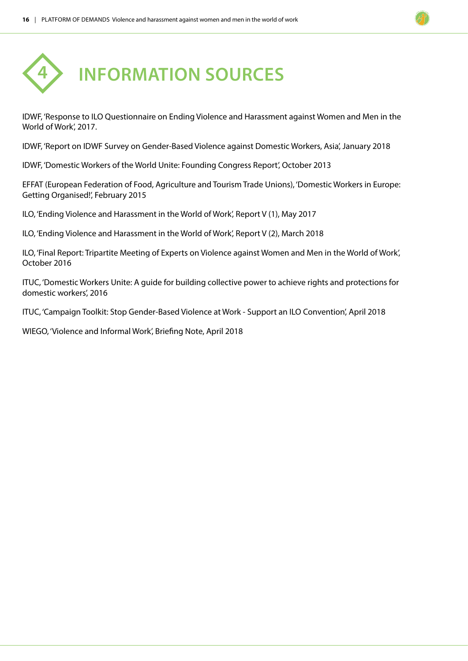

IDWF, 'Response to ILO Questionnaire on Ending Violence and Harassment against Women and Men in the World of Work', 2017.

IDWF, 'Report on IDWF Survey on Gender-Based Violence against Domestic Workers, Asia', January 2018

IDWF, 'Domestic Workers of the World Unite: Founding Congress Report', October 2013

EFFAT (European Federation of Food, Agriculture and Tourism Trade Unions), 'Domestic Workers in Europe: Getting Organised!', February 2015

ILO, 'Ending Violence and Harassment in the World of Work', Report V (1), May 2017

ILO, 'Ending Violence and Harassment in the World of Work', Report V (2), March 2018

ILO, 'Final Report: Tripartite Meeting of Experts on Violence against Women and Men in the World of Work', October 2016

ITUC, 'Domestic Workers Unite: A guide for building collective power to achieve rights and protections for domestic workers', 2016

ITUC, 'Campaign Toolkit: Stop Gender-Based Violence at Work - Support an ILO Convention', April 2018

WIEGO, 'Violence and Informal Work', Briefing Note, April 2018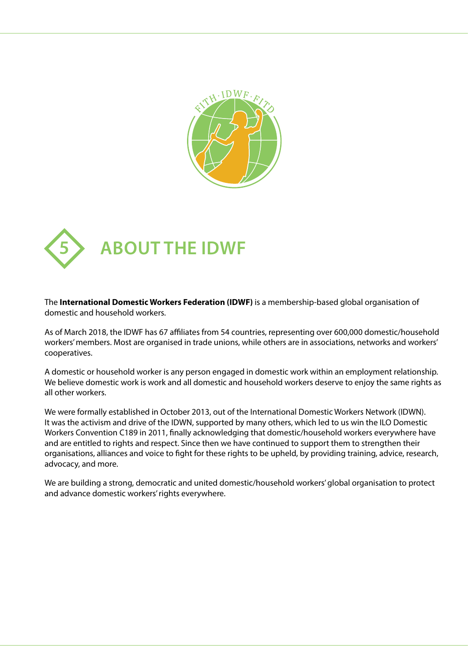



The **International Domestic Workers Federation (IDWF)** is a membership-based global organisation of domestic and household workers.

As of March 2018, the IDWF has 67 affiliates from 54 countries, representing over 600,000 domestic/household workers' members. Most are organised in trade unions, while others are in associations, networks and workers' cooperatives.

A domestic or household worker is any person engaged in domestic work within an employment relationship. We believe domestic work is work and all domestic and household workers deserve to enjoy the same rights as all other workers.

We were formally established in October 2013, out of the International Domestic Workers Network (IDWN). It was the activism and drive of the IDWN, supported by many others, which led to us win the ILO Domestic Workers Convention C189 in 2011, finally acknowledging that domestic/household workers everywhere have and are entitled to rights and respect. Since then we have continued to support them to strengthen their organisations, alliances and voice to fight for these rights to be upheld, by providing training, advice, research, advocacy, and more.

We are building a strong, democratic and united domestic/household workers' global organisation to protect and advance domestic workers' rights everywhere.